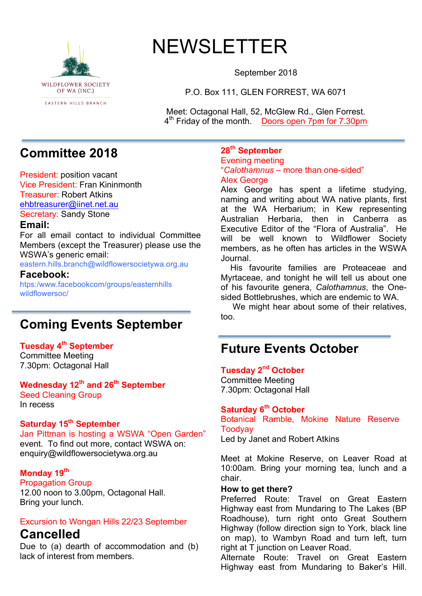

# NEWSLETTER

September 2018

P.O. Box 111, GLEN FORREST, WA 6071

Meet: Octagonal Hall, 52, McGlew Rd., Glen Forrest. 4<sup>th</sup> Friday of the month. Doors open 7pm for 7.30pm

# **Committee 2018**

President: position vacant Vice President: Fran Kininmonth Treasurer: Robert Atkins ehbtreasurer@iinet.net.au Secretary: Sandy Stone

#### **Email:**

For all email contact to individual Committee Members (except the Treasurer) please use the WSWA's generic email:

eastern.hills.branch@wildflowersocietywa.org.au

#### **Facebook:**

htps:/www.facebookcom/groups/easternhills wildflowersoc/

# **Coming Events September**

#### **Tuesday 4th September**

Committee Meeting 7.30pm: Octagonal Hall

### **Wednesday 12th and 26th September**

Seed Cleaning Group In recess

#### **Saturday 15th September**

Jan Pittman is hosting a WSWA "Open Garden" event. To find out more, contact WSWA on: enquiry@wildflowersocietywa.org.au

#### **Monday 19th**

Propagation Group 12.00 noon to 3.00pm, Octagonal Hall. Bring your lunch.

### Excursion to Wongan Hills 22/23 September

### **Cancelled**

Due to (a) dearth of accommodation and (b) lack of interest from members.

### **28th September**

Evening meeting "*Calothamnus* – more than one-sided" Alex George

Alex George has spent a lifetime studying, naming and writing about WA native plants, first at the WA Herbarium; in Kew representing Australian Herbaria, then in Canberra as Executive Editor of the "Flora of Australia". He will be well known to Wildflower Society members, as he often has articles in the WSWA Journal.

 His favourite families are Proteaceae and Myrtaceae, and tonight he will tell us about one of his favourite genera, *Calothamnus*, the Onesided Bottlebrushes, which are endemic to WA.

We might hear about some of their relatives. too.

# **Future Events October**

#### **Tuesday 2nd October**

Committee Meeting 7.30pm: Octagonal Hall

### **Saturday 6th October**

Botanical Ramble, Mokine Nature Reserve Toodyay Led by Janet and Robert Atkins

Meet at Mokine Reserve, on Leaver Road at 10:00am. Bring your morning tea, lunch and a chair.

#### **How to get there?**

Preferred Route: Travel on Great Eastern Highway east from Mundaring to The Lakes (BP Roadhouse), turn right onto Great Southern Highway (follow direction sign to York, black line on map), to Wambyn Road and turn left, turn right at T junction on Leaver Road.

Alternate Route: Travel on Great Eastern Highway east from Mundaring to Baker's Hill.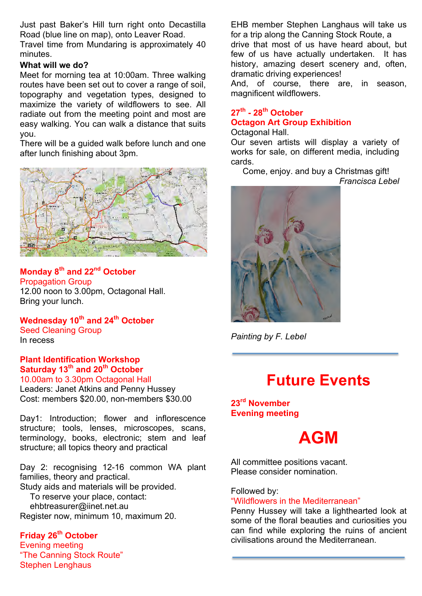Just past Baker's Hill turn right onto Decastilla Road (blue line on map), onto Leaver Road. Travel time from Mundaring is approximately 40 minutes.

#### **What will we do?**

Meet for morning tea at 10:00am. Three walking routes have been set out to cover a range of soil, topography and vegetation types, designed to maximize the variety of wildflowers to see. All radiate out from the meeting point and most are easy walking. You can walk a distance that suits you.

There will be a guided walk before lunch and one after lunch finishing about 3pm.



#### **Monday 8th and 22nd October** Propagation Group 12.00 noon to 3.00pm, Octagonal Hall. Bring your lunch.

**Wednesday 10th and 24th October** Seed Cleaning Group In recess

**Plant Identification Workshop Saturday 13th and 20th October** 10.00am to 3.30pm Octagonal Hall

Leaders: Janet Atkins and Penny Hussey Cost: members \$20.00, non-members \$30.00

Day1: Introduction; flower and inflorescence structure; tools, lenses, microscopes, scans, terminology, books, electronic; stem and leaf structure; all topics theory and practical

Day 2: recognising 12-16 common WA plant families, theory and practical.

Study aids and materials will be provided.

To reserve your place, contact:

ehbtreasurer@iinet.net.au

Register now, minimum 10, maximum 20.

### **Friday 26th October**

Evening meeting "The Canning Stock Route" Stephen Lenghaus

EHB member Stephen Langhaus will take us for a trip along the Canning Stock Route, a

drive that most of us have heard about, but few of us have actually undertaken. It has history, amazing desert scenery and, often, dramatic driving experiences!

And, of course, there are, in season, magnificent wildflowers.

#### **27th - 28th October Octagon Art Group Exhibition** Octagonal Hall.

Our seven artists will display a variety of works for sale, on different media, including cards.

 Come, enjoy. and buy a Christmas gift! *Francisca Lebel*



*Painting by F. Lebel*

# **Future Events**

**23rd November Evening meeting**



All committee positions vacant. Please consider nomination.

Followed by:

"Wildflowers in the Mediterranean"

Penny Hussey will take a lighthearted look at some of the floral beauties and curiosities you can find while exploring the ruins of ancient civilisations around the Mediterranean.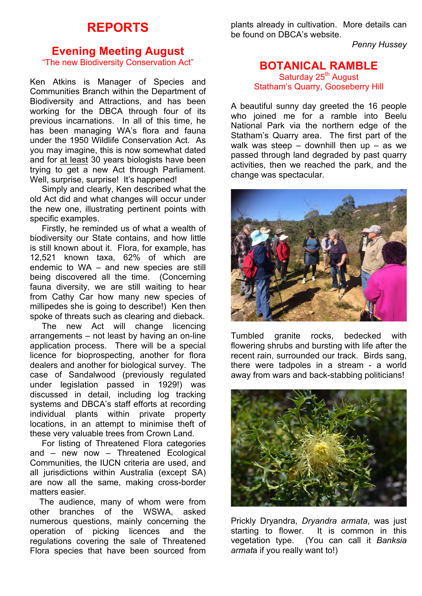## **REPORTS**

### **Evening Meeting August**

"The new Biodiversity Conservation Act"

Ken Atkins is Manager of Species and Communities Branch within the Department of Biodiversity and Attractions, and has been working for the DBCA through four of its previous incarnations. In all of this time, he has been managing WA's flora and fauna under the 1950 Wildlife Conservation Act. As you may imagine, this is now somewhat dated and for at least 30 years biologists have been trying to get a new Act through Parliament. Well, surprise, surprise! It's happened!

 Simply and clearly, Ken described what the old Act did and what changes will occur under the new one, illustrating pertinent points with specific examples.

 Firstly, he reminded us of what a wealth of biodiversity our State contains, and how little is still known about it. Flora, for example, has 12,521 known taxa, 62% of which are endemic to WA – and new species are still being discovered all the time. (Concerning fauna diversity, we are still waiting to hear from Cathy Car how many new species of millipedes she is going to describe!) Ken then spoke of threats such as clearing and dieback.

 The new Act will change licencing arrangements – not least by having an on-line application process. There will be a special licence for bioprospecting, another for flora dealers and another for biological survey. The case of Sandalwood (previously regulated under legislation passed in 1929!) was discussed in detail, including log tracking systems and DBCA's staff efforts at recording individual plants within private property locations, in an attempt to minimise theft of these very valuable trees from Crown Land.

 For listing of Threatened Flora categories and – new now – Threatened Ecological Communities, the IUCN criteria are used, and all jurisdictions within Australia (except SA) are now all the same, making cross-border matters easier.

 The audience, many of whom were from other branches of the WSWA, asked numerous questions, mainly concerning the operation of picking licences and the regulations covering the sale of Threatened Flora species that have been sourced from plants already in cultivation. More details can be found on DBCA's website.

*Penny Hussey*

#### **BOTANICAL RAMBLE** Saturday 25<sup>th</sup> August Statham's Quarry, Gooseberry Hill

A beautiful sunny day greeted the 16 people who joined me for a ramble into Beelu National Park via the northern edge of the Statham's Quarry area. The first part of the walk was steep  $-$  downhill then up  $-$  as we passed through land degraded by past quarry activities, then we reached the park, and the change was spectacular.



Tumbled granite rocks, bedecked with flowering shrubs and bursting with life after the recent rain, surrounded our track. Birds sang, there were tadpoles in a stream - a world away from wars and back-stabbing politicians!



Prickly Dryandra, *Dryandra armata*, was just starting to flower. It is common in this vegetation type. (You can call it *Banksia armat*a if you really want to!)